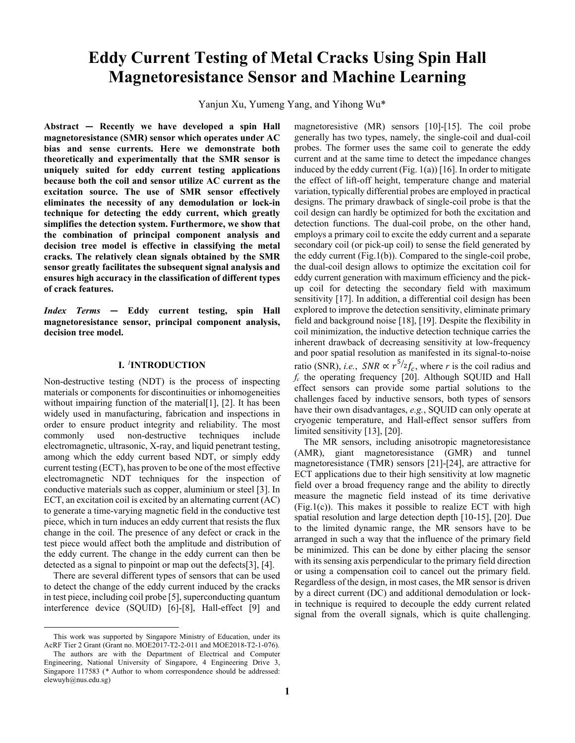# **Eddy Current Testing of Metal Cracks Using Spin Hall Magnetoresistance Sensor and Machine Learning**

Yanjun Xu, Yumeng Yang, and Yihong Wu\*

**Abstract — Recently we have developed a spin Hall magnetoresistance (SMR) sensor which operates under AC bias and sense currents. Here we demonstrate both theoretically and experimentally that the SMR sensor is uniquely suited for eddy current testing applications because both the coil and sensor utilize AC current as the excitation source. The use of SMR sensor effectively eliminates the necessity of any demodulation or lock-in technique for detecting the eddy current, which greatly simplifies the detection system. Furthermore, we show that the combination of principal component analysis and decision tree model is effective in classifying the metal cracks. The relatively clean signals obtained by the SMR sensor greatly facilitates the subsequent signal analysis and ensures high accuracy in the classification of different types of crack features.**

*Index Terms* **— Eddy current testing, spin Hall magnetoresistance sensor, principal component analysis, decision tree model.**

# **I.** *[1](#page-0-0)* **INTRODUCTION**

Non-destructive testing (NDT) is the process of inspecting materials or components for discontinuities or inhomogeneities without impairing function of the material [1], [2]. It has been widely used in manufacturing, fabrication and inspections in order to ensure product integrity and reliability. The most commonly used non-destructive techniques include electromagnetic, ultrasonic, X-ray, and liquid penetrant testing, among which the eddy current based NDT, or simply eddy current testing (ECT), has proven to be one of the most effective electromagnetic NDT techniques for the inspection of conductive materials such as copper, aluminium or steel [3]. In ECT, an excitation coil is excited by an alternating current (AC) to generate a time-varying magnetic field in the conductive test piece, which in turn induces an eddy current that resists the flux change in the coil. The presence of any defect or crack in the test piece would affect both the amplitude and distribution of the eddy current. The change in the eddy current can then be detected as a signal to pinpoint or map out the defects[3], [4].

There are several different types of sensors that can be used to detect the change of the eddy current induced by the cracks in test piece, including coil probe [5], superconducting quantum interference device (SQUID) [6]-[8], Hall-effect [9] and

magnetoresistive (MR) sensors [10]-[15]. The coil probe generally has two types, namely, the single-coil and dual-coil probes. The former uses the same coil to generate the eddy current and at the same time to detect the impedance changes induced by the eddy current (Fig.  $1(a)$ ) [16]. In order to mitigate the effect of lift-off height, temperature change and material variation, typically differential probes are employed in practical designs. The primary drawback of single-coil probe is that the coil design can hardly be optimized for both the excitation and detection functions. The dual-coil probe, on the other hand, employs a primary coil to excite the eddy current and a separate secondary coil (or pick-up coil) to sense the field generated by the eddy current (Fig.1(b)). Compared to the single-coil probe, the dual-coil design allows to optimize the excitation coil for eddy current generation with maximum efficiency and the pickup coil for detecting the secondary field with maximum sensitivity [17]. In addition, a differential coil design has been explored to improve the detection sensitivity, eliminate primary field and background noise [18], [19]. Despite the flexibility in coil minimization, the inductive detection technique carries the inherent drawback of decreasing sensitivity at low-frequency and poor spatial resolution as manifested in its signal-to-noise ratio (SNR), *i.e.*,  $SNR \propto r^{5/2} f_c$ , where *r* is the coil radius and *fc* the operating frequency [20]. Although SQUID and Hall effect sensors can provide some partial solutions to the challenges faced by inductive sensors, both types of sensors have their own disadvantages, *e.g.*, SQUID can only operate at cryogenic temperature, and Hall-effect sensor suffers from limited sensitivity [13], [20].

The MR sensors, including anisotropic magnetoresistance (AMR), giant magnetoresistance (GMR) and tunnel magnetoresistance (TMR) sensors [21]-[24], are attractive for ECT applications due to their high sensitivity at low magnetic field over a broad frequency range and the ability to directly measure the magnetic field instead of its time derivative  $(Fig.1(c))$ . This makes it possible to realize ECT with high spatial resolution and large detection depth [10-15], [20]. Due to the limited dynamic range, the MR sensors have to be arranged in such a way that the influence of the primary field be minimized. This can be done by either placing the sensor with its sensing axis perpendicular to the primary field direction or using a compensation coil to cancel out the primary field. Regardless of the design, in most cases, the MR sensor is driven by a direct current (DC) and additional demodulation or lockin technique is required to decouple the eddy current related signal from the overall signals, which is quite challenging.

<span id="page-0-0"></span>This work was supported by Singapore Ministry of Education, under its AcRF Tier 2 Grant (Grant no. MOE2017-T2-2-011 and MOE2018-T2-1-076).

The authors are with the Department of Electrical and Computer Engineering, National University of Singapore, 4 Engineering Drive 3, Singapore 117583 (*\** Author to whom correspondence should be addressed: elewuyh@nus.edu.sg)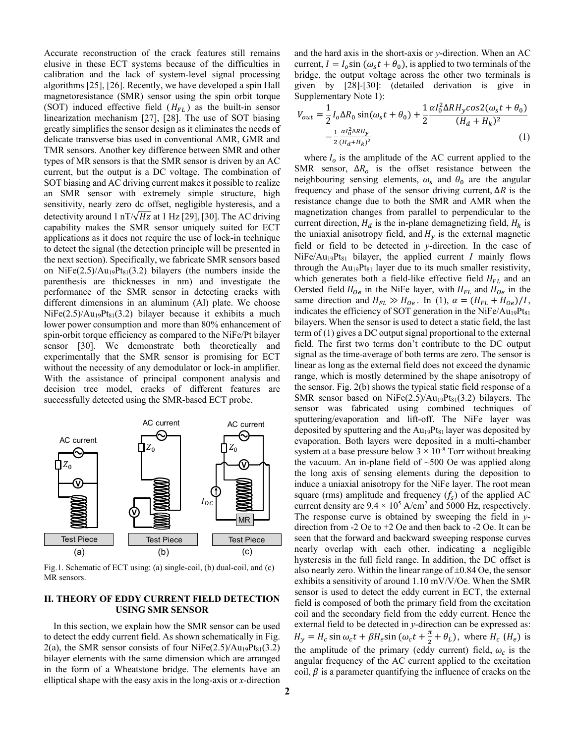Accurate reconstruction of the crack features still remains elusive in these ECT systems because of the difficulties in calibration and the lack of system-level signal processing algorithms [25], [26]. Recently, we have developed a spin Hall magnetoresistance (SMR) sensor using the spin orbit torque (SOT) induced effective field  $(H<sub>FL</sub>)$  as the built-in sensor linearization mechanism [27], [28]. The use of SOT biasing greatly simplifies the sensor design as it eliminates the needs of delicate transverse bias used in conventional AMR, GMR and TMR sensors. Another key difference between SMR and other types of MR sensors is that the SMR sensor is driven by an AC current, but the output is a DC voltage. The combination of SOT biasing and AC driving current makes it possible to realize an SMR sensor with extremely simple structure, high sensitivity, nearly zero dc offset, negligible hysteresis, and a detectivity around 1 nT/ $\sqrt{Hz}$  at 1 Hz [29], [30]. The AC driving capability makes the SMR sensor uniquely suited for ECT applications as it does not require the use of lock-in technique to detect the signal (the detection principle will be presented in the next section). Specifically, we fabricate SMR sensors based on NiFe $(2.5)/Au_{19}Pt_{81}(3.2)$  bilayers (the numbers inside the parenthesis are thicknesses in nm) and investigate the performance of the SMR sensor in detecting cracks with different dimensions in an aluminum (Al) plate. We choose  $NiFe(2.5)/Au_{19}Pt_{81}(3.2)$  bilayer because it exhibits a much lower power consumption and more than 80% enhancement of spin-orbit torque efficiency as compared to the NiFe/Pt bilayer sensor [30]. We demonstrate both theoretically and experimentally that the SMR sensor is promising for ECT without the necessity of any demodulator or lock-in amplifier. With the assistance of principal component analysis and decision tree model, cracks of different features are successfully detected using the SMR-based ECT probe.



Fig.1. Schematic of ECT using: (a) single-coil, (b) dual-coil, and (c) MR sensors.

# **II. THEORY OF EDDY CURRENT FIELD DETECTION USING SMR SENSOR**

In this section, we explain how the SMR sensor can be used to detect the eddy current field. As shown schematically in Fig. 2(a), the SMR sensor consists of four  $NiFe(2.5)/Au_{19}Pt_{81}(3.2)$ bilayer elements with the same dimension which are arranged in the form of a Wheatstone bridge. The elements have an elliptical shape with the easy axis in the long-axis or *x*-direction

and the hard axis in the short-axis or *y*-direction. When an AC current,  $I = I_0 \sin (\omega_s t + \theta_0)$ , is applied to two terminals of the bridge, the output voltage across the other two terminals is given by [28]-[30]: (detailed derivation is give in Supplementary Note 1):

$$
V_{out} = \frac{1}{2} I_o \Delta R_0 \sin(\omega_s t + \theta_0) + \frac{1}{2} \frac{\alpha I_0^2 \Delta R H_y \cos 2(\omega_s t + \theta_0)}{(H_d + H_k)^2} - \frac{1}{2} \frac{\alpha I_0^2 \Delta R H_y}{(H_d + H_k)^2}
$$
(1)

where  $I_0$  is the amplitude of the AC current applied to the SMR sensor,  $\Delta R_o$  is the offset resistance between the neighbouring sensing elements,  $\omega_s$  and  $\theta_0$  are the angular frequency and phase of the sensor driving current,  $\Delta R$  is the resistance change due to both the SMR and AMR when the magnetization changes from parallel to perpendicular to the current direction,  $H_d$  is the in-plane demagnetizing field,  $H_k$  is the uniaxial anisotropy field, and  $H_y$  is the external magnetic field or field to be detected in *y*-direction. In the case of  $NiFe/Au<sub>19</sub>Pt<sub>81</sub>$  bilayer, the applied current *I* mainly flows through the  $Au_{19}Pt_{81}$  layer due to its much smaller resistivity, which generates both a field-like effective field  $H_{FL}$  and an Oersted field  $H_{0e}$  in the NiFe layer, with  $H_{FL}$  and  $H_{0e}$  in the same direction and  $H_{FL} \gg H_{0e}$ . In (1),  $\alpha = (H_{FL} + H_{0e})/I$ , indicates the efficiency of SOT generation in the NiFe/Au<sub>19</sub>Pt<sub>81</sub> bilayers. When the sensor is used to detect a static field, the last term of (1) gives a DC output signal proportional to the external field. The first two terms don't contribute to the DC output signal as the time-average of both terms are zero. The sensor is linear as long as the external field does not exceed the dynamic range, which is mostly determined by the shape anisotropy of the sensor. Fig. 2(b) shows the typical static field response of a SMR sensor based on NiFe $(2.5)/Au_{19}Pt_{81}(3.2)$  bilayers. The sensor was fabricated using combined techniques of sputtering/evaporation and lift-off. The NiFe layer was deposited by sputtering and the  $Au_{19}Pt_{81}$  layer was deposited by evaporation. Both layers were deposited in a multi-chamber system at a base pressure below  $3 \times 10^{-8}$  Torr without breaking the vacuum. An in-plane field of  $~500$  Oe was applied along the long axis of sensing elements during the deposition to induce a uniaxial anisotropy for the NiFe layer. The root mean square (rms) amplitude and frequency  $(f_s)$  of the applied AC current density are  $9.4 \times 10^5$  A/cm<sup>2</sup> and 5000 Hz, respectively. The response curve is obtained by sweeping the field in *y*direction from -2 Oe to +2 Oe and then back to -2 Oe. It can be seen that the forward and backward sweeping response curves nearly overlap with each other, indicating a negligible hysteresis in the full field range. In addition, the DC offset is also nearly zero. Within the linear range of  $\pm 0.84$  Oe, the sensor exhibits a sensitivity of around 1.10 mV/V/Oe. When the SMR sensor is used to detect the eddy current in ECT, the external field is composed of both the primary field from the excitation coil and the secondary field from the eddy current. Hence the external field to be detected in *y*-direction can be expressed as:  $H_y = H_c \sin \omega_c t + \beta H_e \sin (\omega_c t + \frac{\pi}{2} + \theta_L)$ , where  $H_c$  ( $H_e$ ) is the amplitude of the primary (eddy current) field,  $\omega_c$  is the angular frequency of the AC current applied to the excitation coil,  $\beta$  is a parameter quantifying the influence of cracks on the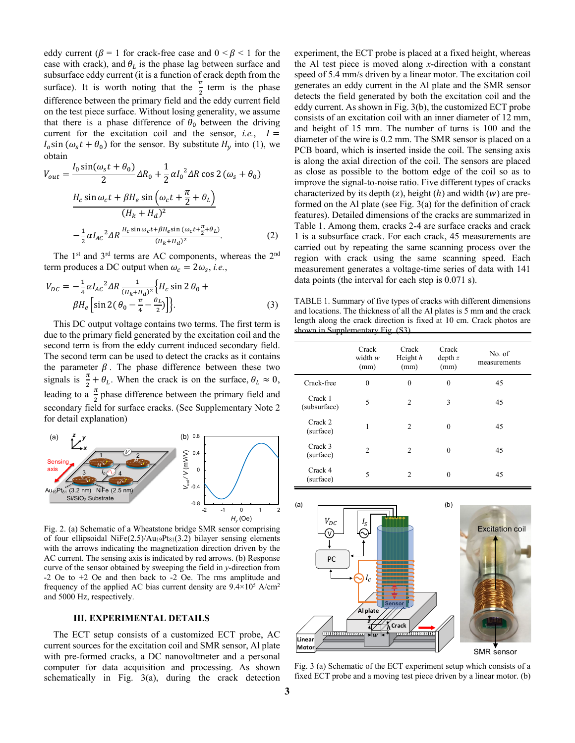eddy current ( $\beta = 1$  for crack-free case and  $0 \le \beta \le 1$  for the case with crack), and  $\theta_L$  is the phase lag between surface and subsurface eddy current (it is a function of crack depth from the surface). It is worth noting that the  $\frac{\pi}{2}$  term is the phase difference between the primary field and the eddy current field on the test piece surface. Without losing generality, we assume that there is a phase difference of  $\theta_0$  between the driving current for the excitation coil and the sensor, *i.e.*,  $I =$  $I_0$ sin ( $\omega_s t + \theta_0$ ) for the sensor. By substitute  $H_v$  into (1), we obtain

$$
V_{out} = \frac{I_0 \sin(\omega_s t + \theta_0)}{2} \Delta R_0 + \frac{1}{2} \alpha I_0^2 \Delta R \cos 2 (\omega_s + \theta_0)
$$
  

$$
\frac{H_c \sin \omega_c t + \beta H_e \sin (\omega_c t + \frac{\pi}{2} + \theta_L)}{(H_k + H_d)^2}
$$
  

$$
-\frac{1}{2} \alpha I_{AC}^2 \Delta R \frac{H_c \sin \omega_c t + \beta H_e \sin (\omega_c t + \frac{\pi}{2} + \theta_L)}{(H_k + H_d)^2}.
$$
 (2)

The 1<sup>st</sup> and 3<sup>rd</sup> terms are AC components, whereas the 2<sup>nd</sup> term produces a DC output when  $\omega_c = 2\omega_s$ , *i.e.*,

$$
V_{DC} = -\frac{1}{4} \alpha I_{AC}{}^{2} \Delta R \frac{1}{(H_{k} + H_{d})^{2}} \Big\{ H_{c} \sin 2 \theta_{0} + \beta H_{e} \Big[ \sin 2(\theta_{0} - \frac{\pi}{4} - \frac{\theta_{L}}{2}) \Big] \Big\}.
$$
 (3)

This DC output voltage contains two terms. The first term is due to the primary field generated by the excitation coil and the second term is from the eddy current induced secondary field. The second term can be used to detect the cracks as it contains the parameter  $\beta$ . The phase difference between these two signals is  $\frac{\pi}{2} + \theta_L$ . When the crack is on the surface,  $\theta_L \approx 0$ , leading to a  $\frac{\pi}{2}$  phase difference between the primary field and secondary field for surface cracks. (See Supplementary Note 2 for detail explanation)



Fig. 2. (a) Schematic of a Wheatstone bridge SMR sensor comprising of four ellipsoidal NiFe $(2.5)/Au_19Pt_{81}(3.2)$  bilayer sensing elements with the arrows indicating the magnetization direction driven by the AC current. The sensing axis is indicated by red arrows. (b) Response curve of the sensor obtained by sweeping the field in *y*-direction from -2 Oe to +2 Oe and then back to -2 Oe. The rms amplitude and frequency of the applied AC bias current density are 9.4×105 A/cm2 and 5000 Hz, respectively.

# **III. EXPERIMENTAL DETAILS**

The ECT setup consists of a customized ECT probe, AC current sources for the excitation coil and SMR sensor, Al plate with pre-formed cracks, a DC nanovoltmeter and a personal computer for data acquisition and processing. As shown schematically in Fig. 3(a), during the crack detection

experiment, the ECT probe is placed at a fixed height, whereas the Al test piece is moved along *x*-direction with a constant speed of 5.4 mm/s driven by a linear motor. The excitation coil generates an eddy current in the Al plate and the SMR sensor detects the field generated by both the excitation coil and the eddy current. As shown in Fig. 3(b), the customized ECT probe consists of an excitation coil with an inner diameter of 12 mm, and height of 15 mm. The number of turns is 100 and the diameter of the wire is 0.2 mm. The SMR sensor is placed on a PCB board, which is inserted inside the coil. The sensing axis is along the axial direction of the coil. The sensors are placed as close as possible to the bottom edge of the coil so as to improve the signal-to-noise ratio. Five different types of cracks characterized by its depth  $(z)$ , height  $(h)$  and width  $(w)$  are preformed on the Al plate (see Fig. 3(a) for the definition of crack features). Detailed dimensions of the cracks are summarized in Table 1. Among them, cracks 2-4 are surface cracks and crack 1 is a subsurface crack. For each crack, 45 measurements are carried out by repeating the same scanning process over the region with crack using the same scanning speed. Each measurement generates a voltage-time series of data with 141 data points (the interval for each step is 0.071 s).

TABLE 1. Summary of five types of cracks with different dimensions and locations. The thickness of all the Al plates is 5 mm and the crack length along the crack direction is fixed at 10 cm. Crack photos are shown in Supplementary Fig. (S3).

|                         | Crack<br>width $w$<br>(mm) | Crack<br>Height $h$<br>(mm) | Crack<br>depth z<br>(mm) | No. of<br>measurements |
|-------------------------|----------------------------|-----------------------------|--------------------------|------------------------|
| Crack-free              | $\mathbf{0}$               | 0                           | $\mathbf{0}$             | 45                     |
| Crack 1<br>(subsurface) | 5                          | 2                           | 3                        | 45                     |
| Crack 2<br>(surface)    | 1                          | 2                           | $\theta$                 | 45                     |
| Crack 3<br>(surface)    | $\mathfrak{D}$             | 2                           | $\theta$                 | 45                     |
| Crack 4<br>(surface)    | 5                          | $\mathfrak{D}$              | $\Omega$                 | 45                     |



Fig. 3 (a) Schematic of the ECT experiment setup which consists of a fixed ECT probe and a moving test piece driven by a linear motor. (b)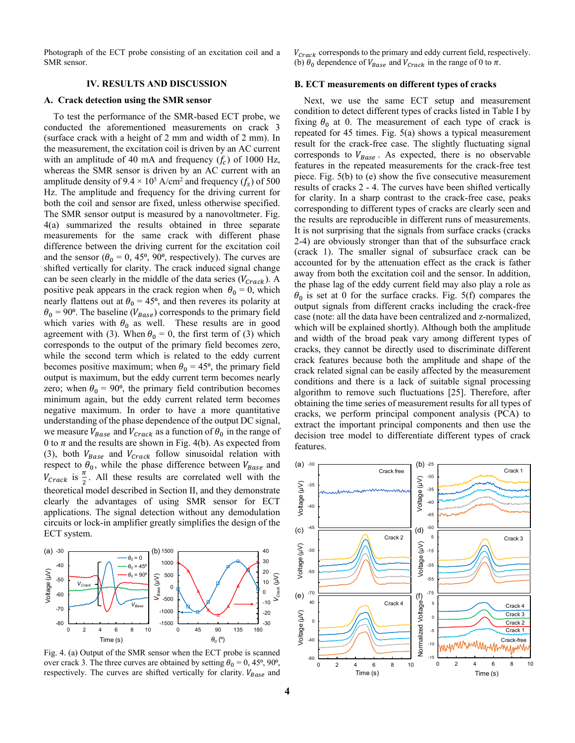Photograph of the ECT probe consisting of an excitation coil and a SMR sensor.

## **IV. RESULTS AND DISCUSSION**

#### **A. Crack detection using the SMR sensor**

To test the performance of the SMR-based ECT probe, we conducted the aforementioned measurements on crack 3 (surface crack with a height of 2 mm and width of 2 mm). In the measurement, the excitation coil is driven by an AC current with an amplitude of 40 mA and frequency  $(f_c)$  of 1000 Hz, whereas the SMR sensor is driven by an AC current with an amplitude density of  $9.4 \times 10^5$  A/cm<sup>2</sup> and frequency (f<sub>s</sub>) of 500 Hz. The amplitude and frequency for the driving current for both the coil and sensor are fixed, unless otherwise specified. The SMR sensor output is measured by a nanovoltmeter. Fig. 4(a) summarized the results obtained in three separate measurements for the same crack with different phase difference between the driving current for the excitation coil and the sensor ( $\theta_0 = 0$ , 45<sup>o</sup>, 90<sup>o</sup>, respectively). The curves are shifted vertically for clarity. The crack induced signal change can be seen clearly in the middle of the data series  $(V_{Crack})$ . A positive peak appears in the crack region when  $\theta_0 = 0$ , which nearly flattens out at  $\theta_0 = 45^{\circ}$ , and then reveres its polarity at  $\theta_0 = 90^\circ$ . The baseline ( $V_{Base}$ ) corresponds to the primary field which varies with  $\theta_0$  as well. These results are in good agreement with (3). When  $\theta_0 = 0$ , the first term of (3) which corresponds to the output of the primary field becomes zero, while the second term which is related to the eddy current becomes positive maximum; when  $\theta_0 = 45^{\circ}$ , the primary field output is maximum, but the eddy current term becomes nearly zero; when  $\theta_0 = 90^\circ$ , the primary field contribution becomes minimum again, but the eddy current related term becomes negative maximum. In order to have a more quantitative understanding of the phase dependence of the output DC signal, we measure  $V_{Base}$  and  $V_{Crack}$  as a function of  $\theta_0$  in the range of 0 to  $\pi$  and the results are shown in Fig. 4(b). As expected from (3), both  $V_{Base}$  and  $V_{Crack}$  follow sinusoidal relation with respect to  $\theta_0$ , while the phase difference between  $V_{Base}$  and  $V_{crack}$  is  $\frac{\pi}{2}$ . All these results are correlated well with the theoretical model described in Section II, and they demonstrate clearly the advantages of using SMR sensor for ECT applications. The signal detection without any demodulation circuits or lock-in amplifier greatly simplifies the design of the ECT system.



Fig. 4. (a) Output of the SMR sensor when the ECT probe is scanned over crack 3. The three curves are obtained by setting  $\theta_0 = 0$ , 45<sup>o</sup>, 90<sup>o</sup>, respectively. The curves are shifted vertically for clarity.  $V_{Base}$  and

 $V_{Crack}$  corresponds to the primary and eddy current field, respectively. (b)  $\theta_0$  dependence of  $V_{Base}$  and  $V_{Crack}$  in the range of 0 to  $\pi$ .

## **B. ECT measurements on different types of cracks**

Next, we use the same ECT setup and measurement condition to detect different types of cracks listed in Table I by fixing  $\theta_0$  at 0. The measurement of each type of crack is repeated for 45 times. Fig. 5(a) shows a typical measurement result for the crack-free case. The slightly fluctuating signal corresponds to  $V_{Base}$ . As expected, there is no observable features in the repeated measurements for the crack-free test piece. Fig. 5(b) to (e) show the five consecutive measurement results of cracks 2 - 4. The curves have been shifted vertically for clarity. In a sharp contrast to the crack-free case, peaks corresponding to different types of cracks are clearly seen and the results are reproducible in different runs of measurements. It is not surprising that the signals from surface cracks (cracks 2-4) are obviously stronger than that of the subsurface crack (crack 1). The smaller signal of subsurface crack can be accounted for by the attenuation effect as the crack is father away from both the excitation coil and the sensor. In addition, the phase lag of the eddy current field may also play a role as  $\theta_0$  is set at 0 for the surface cracks. Fig. 5(f) compares the output signals from different cracks including the crack-free case (note: all the data have been centralized and z-normalized, which will be explained shortly). Although both the amplitude and width of the broad peak vary among different types of cracks, they cannot be directly used to discriminate different crack features because both the amplitude and shape of the crack related signal can be easily affected by the measurement conditions and there is a lack of suitable signal processing algorithm to remove such fluctuations [25]. Therefore, after obtaining the time series of measurement results for all types of cracks, we perform principal component analysis (PCA) to extract the important principal components and then use the decision tree model to differentiate different types of crack features.

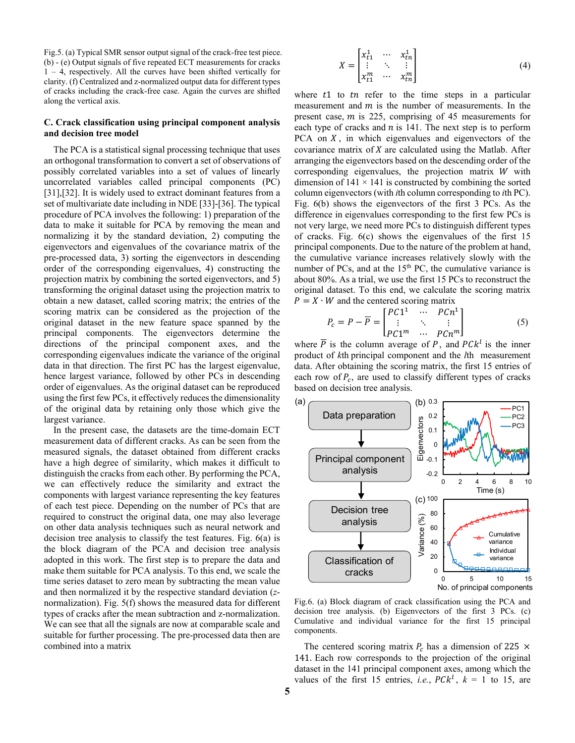Fig.5. (a) Typical SMR sensor output signal of the crack-free test piece. (b) - (e) Output signals of five repeated ECT measurements for cracks 1 – 4, respectively. All the curves have been shifted vertically for clarity. (f) Centralized and z-normalized output data for different types of cracks including the crack-free case. Again the curves are shifted along the vertical axis.

# **C. Crack classification using principal component analysis and decision tree model**

The PCA is a statistical signal processing technique that uses an orthogonal transformation to convert a set of observations of possibly correlated variables into a set of values of linearly uncorrelated variables called principal components (PC) [31],[32]. It is widely used to extract dominant features from a set of multivariate date including in NDE [33]-[36]. The typical procedure of PCA involves the following: 1) preparation of the data to make it suitable for PCA by removing the mean and normalizing it by the standard deviation, 2) computing the eigenvectors and eigenvalues of the covariance matrix of the pre-processed data, 3) sorting the eigenvectors in descending order of the corresponding eigenvalues, 4) constructing the projection matrix by combining the sorted eigenvectors, and 5) transforming the original dataset using the projection matrix to obtain a new dataset, called scoring matrix; the entries of the scoring matrix can be considered as the projection of the original dataset in the new feature space spanned by the principal components. The eigenvectors determine the directions of the principal component axes, and the corresponding eigenvalues indicate the variance of the original data in that direction. The first PC has the largest eigenvalue, hence largest variance, followed by other PCs in descending order of eigenvalues. As the original dataset can be reproduced using the first few PCs, it effectively reduces the dimensionality of the original data by retaining only those which give the largest variance.

In the present case, the datasets are the time-domain ECT measurement data of different cracks. As can be seen from the measured signals, the dataset obtained from different cracks have a high degree of similarity, which makes it difficult to distinguish the cracks from each other. By performing the PCA, we can effectively reduce the similarity and extract the components with largest variance representing the key features of each test piece. Depending on the number of PCs that are required to construct the original data, one may also leverage on other data analysis techniques such as neural network and decision tree analysis to classify the test features. Fig. 6(a) is the block diagram of the PCA and decision tree analysis adopted in this work. The first step is to prepare the data and make them suitable for PCA analysis. To this end, we scale the time series dataset to zero mean by subtracting the mean value and then normalized it by the respective standard deviation (*z*normalization). Fig. 5(f) shows the measured data for different types of cracks after the mean subtraction and z-normalization. We can see that all the signals are now at comparable scale and suitable for further processing. The pre-processed data then are combined into a matrix

$$
X = \begin{bmatrix} x_{t1}^1 & \cdots & x_{tn}^1 \\ \vdots & \ddots & \vdots \\ x_{t1}^m & \cdots & x_{tn}^m \end{bmatrix} \tag{4}
$$

where  $t1$  to  $t$ n refer to the time steps in a particular measurement and  $m$  is the number of measurements. In the present case,  $m$  is 225, comprising of 45 measurements for each type of cracks and  $n$  is 141. The next step is to perform PCA on  $X$ , in which eigenvalues and eigenvectors of the covariance matrix of  $X$  are calculated using the Matlab. After arranging the eigenvectors based on the descending order of the corresponding eigenvalues, the projection matrix  $W$  with dimension of  $141 \times 141$  is constructed by combining the sorted column eigenvectors(with *i*th column corresponding to *i*th PC). Fig. 6(b) shows the eigenvectors of the first 3 PCs. As the difference in eigenvalues corresponding to the first few PCs is not very large, we need more PCs to distinguish different types of cracks. Fig. 6(c) shows the eigenvalues of the first 15 principal components. Due to the nature of the problem at hand, the cumulative variance increases relatively slowly with the number of PCs, and at the 15<sup>th</sup> PC, the cumulative variance is about 80%. As a trial, we use the first 15 PCs to reconstruct the original dataset. To this end, we calculate the scoring matrix  $P = X \cdot W$  and the centered scoring matrix

$$
P_c = P - \overline{P} = \begin{bmatrix} P C 1^1 & \cdots & P C n^1 \\ \vdots & \ddots & \vdots \\ P C 1^m & \cdots & P C n^m \end{bmatrix}
$$
 (5)

where *P* is the column average of *P*, and  $P C k^l$  is the inner product of *k*th principal component and the *l*th measurement data. After obtaining the scoring matrix, the first 15 entries of each row of  $P_c$ , are used to classify different types of cracks based on decision tree analysis.



Fig.6. (a) Block diagram of crack classification using the PCA and decision tree analysis. (b) Eigenvectors of the first 3 PCs. (c) Cumulative and individual variance for the first 15 principal components.

The centered scoring matrix  $P_c$  has a dimension of 225  $\times$ 141. Each row corresponds to the projection of the original dataset in the 141 principal component axes, among which the values of the first 15 entries, *i.e.*,  $P C k^l$ ,  $k = 1$  to 15, are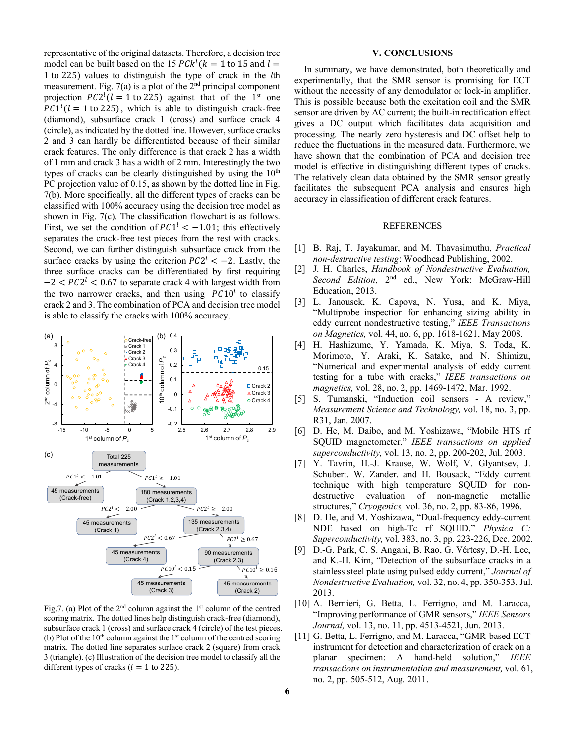representative of the original datasets. Therefore, a decision tree model can be built based on the 15  $P C k^l$  ( $k = 1$  to 15 and  $l =$ 1 to 225) values to distinguish the type of crack in the *l*th measurement. Fig.  $7(a)$  is a plot of the  $2<sup>nd</sup>$  principal component projection  $PC2^l(l = 1 \text{ to } 225)$  against that of the 1<sup>st</sup> one  $P C 1^{l}$  ( $l = 1$  to 225), which is able to distinguish crack-free (diamond), subsurface crack 1 (cross) and surface crack 4 (circle), as indicated by the dotted line. However, surface cracks 2 and 3 can hardly be differentiated because of their similar crack features. The only difference is that crack 2 has a width of 1 mm and crack 3 has a width of 2 mm. Interestingly the two types of cracks can be clearly distinguished by using the  $10<sup>th</sup>$ PC projection value of 0.15, as shown by the dotted line in Fig. 7(b). More specifically, all the different types of cracks can be classified with 100% accuracy using the decision tree model as shown in Fig. 7(c). The classification flowchart is as follows. First, we set the condition of  $P C1<sup>l</sup> < -1.01$ ; this effectively separates the crack-free test pieces from the rest with cracks. Second, we can further distinguish subsurface crack from the surface cracks by using the criterion  $PC2<sup>l</sup> < -2$ . Lastly, the three surface cracks can be differentiated by first requiring  $-2 < PC2<sup>1</sup> < 0.67$  to separate crack 4 with largest width from the two narrower cracks, and then using  $PC10<sup>l</sup>$  to classify crack 2 and 3. The combination of PCA and decision tree model is able to classify the cracks with 100% accuracy.



Fig.7. (a) Plot of the  $2<sup>nd</sup>$  column against the  $1<sup>st</sup>$  column of the centred scoring matrix. The dotted lines help distinguish crack-free (diamond), subsurface crack 1 (cross) and surface crack 4 (circle) of the test pieces. (b) Plot of the  $10<sup>th</sup>$  column against the  $1<sup>st</sup>$  column of the centred scoring matrix. The dotted line separates surface crack 2 (square) from crack 3 (triangle). (c) Illustration of the decision tree model to classify all the different types of cracks ( $l = 1$  to 225).

## **V. CONCLUSIONS**

In summary, we have demonstrated, both theoretically and experimentally, that the SMR sensor is promising for ECT without the necessity of any demodulator or lock-in amplifier. This is possible because both the excitation coil and the SMR sensor are driven by AC current; the built-in rectification effect gives a DC output which facilitates data acquisition and processing. The nearly zero hysteresis and DC offset help to reduce the fluctuations in the measured data. Furthermore, we have shown that the combination of PCA and decision tree model is effective in distinguishing different types of cracks. The relatively clean data obtained by the SMR sensor greatly facilitates the subsequent PCA analysis and ensures high accuracy in classification of different crack features.

## REFERENCES

- [1] B. Raj, T. Jayakumar, and M. Thavasimuthu, *Practical non-destructive testing*: Woodhead Publishing, 2002.
- [2] J. H. Charles, *Handbook of Nondestructive Evaluation, Second Edition*, 2nd ed., New York: McGraw-Hill Education, 2013.
- [3] L. Janousek, K. Capova, N. Yusa, and K. Miya, "Multiprobe inspection for enhancing sizing ability in eddy current nondestructive testing," *IEEE Transactions on Magnetics,* vol. 44, no. 6, pp. 1618-1621, May 2008.
- [4] H. Hashizume, Y. Yamada, K. Miya, S. Toda, K. Morimoto, Y. Araki, K. Satake, and N. Shimizu, "Numerical and experimental analysis of eddy current testing for a tube with cracks," *IEEE transactions on magnetics,* vol. 28, no. 2, pp. 1469-1472, Mar. 1992.
- [5] S. Tumanski, "Induction coil sensors A review," *Measurement Science and Technology,* vol. 18, no. 3, pp. R31, Jan. 2007.
- [6] D. He, M. Daibo, and M. Yoshizawa, "Mobile HTS rf SQUID magnetometer," *IEEE transactions on applied superconductivity,* vol. 13, no. 2, pp. 200-202, Jul. 2003.
- [7] Y. Tavrin, H.-J. Krause, W. Wolf, V. Glyantsev, J. Schubert, W. Zander, and H. Bousack, "Eddy current technique with high temperature SQUID for nondestructive evaluation of non-magnetic metallic structures," *Cryogenics,* vol. 36, no. 2, pp. 83-86, 1996.
- [8] D. He, and M. Yoshizawa, "Dual-frequency eddy-current NDE based on high-Tc rf SQUID," *Physica C: Superconductivity,* vol. 383, no. 3, pp. 223-226, Dec. 2002.
- [9] D.-G. Park, C. S. Angani, B. Rao, G. Vértesy, D.-H. Lee, and K.-H. Kim, "Detection of the subsurface cracks in a stainless steel plate using pulsed eddy current," *Journal of Nondestructive Evaluation,* vol. 32, no. 4, pp. 350-353, Jul. 2013.
- [10] A. Bernieri, G. Betta, L. Ferrigno, and M. Laracca, "Improving performance of GMR sensors," *IEEE Sensors Journal,* vol. 13, no. 11, pp. 4513-4521, Jun. 2013.
- [11] G. Betta, L. Ferrigno, and M. Laracca, "GMR-based ECT instrument for detection and characterization of crack on a planar specimen: A hand-held solution," *IEEE transactions on instrumentation and measurement,* vol. 61, no. 2, pp. 505-512, Aug. 2011.